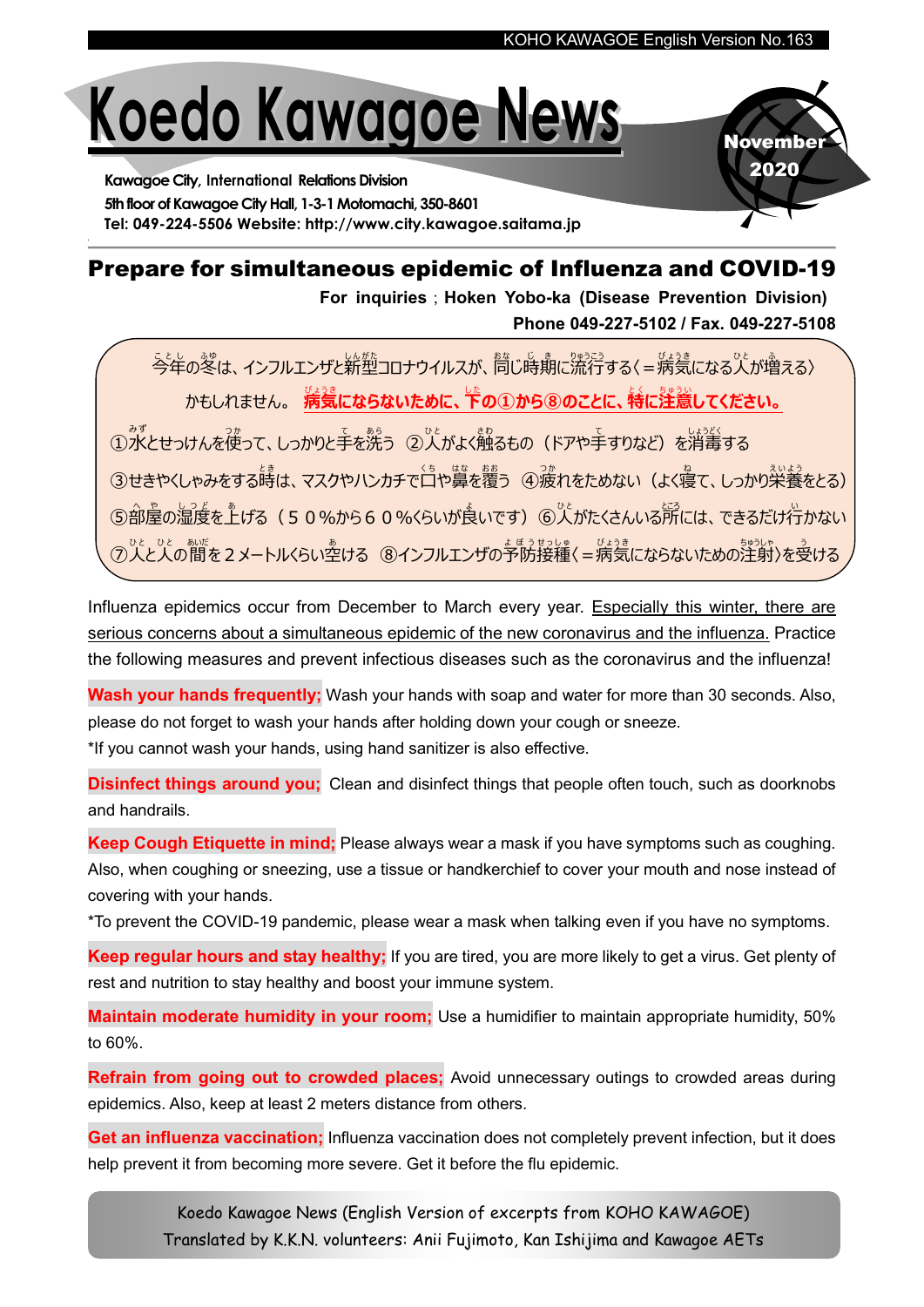# Koedo Kawagoe News

Kawagoe City, International Relations Division 5th floor of Kawagoe City Hall, 1-3-1 Motomachi, 350-8601 Tel: 049-224-5506 Website: http://www.city.kawagoe.saitama.jp

# **November** 2020

### Prepare for simultaneous epidemic of Influenza and COVID-19

For inquiries; Hoken Yobo-ka (Disease Prevention Division) Phone 049-227-5102 / Fax. 049-227-5108

今年 こ と し の冬 ふ ゆ は、インフルエンザと新型 し ん が た コロナウイルスが、同 お な じ時期 じ き に流行 り ゅ う こ う する〈=病気 び ょ う き になる人 ひ と が増 ふ える〉 <u>かもしれません。 病気にならないために、下の①から⑧のことに、特に注意してください。</u>

①水とせっけんを使って、しっかりと手を洗う ②人がよく触るもの(ドアや手すりなど)を消毒する ③せきやくしゃみをする時は、マスクやハンカチで白や賞を覆う ④波れをためない(よく寝て、しっかり栄養をとる) ⑤部屋の湿度を上げる(50%から60%くらいが良いです)⑥人がたくさんいる所には、できるだけ行かない ⑦人と人の間を2メートルくらい空ける ⑧インフルエンザの予防接種〈=病気にならないための注射〉を受ける

Influenza epidemics occur from December to March every year. Especially this winter, there are serious concerns about a simultaneous epidemic of the new coronavirus and the influenza. Practice the following measures and prevent infectious diseases such as the coronavirus and the influenza!

Wash your hands frequently; Wash your hands with soap and water for more than 30 seconds. Also, please do not forget to wash your hands after holding down your cough or sneeze. \*If you cannot wash your hands, using hand sanitizer is also effective.

**Disinfect things around you:** Clean and disinfect things that people often touch, such as doorknobs and handrails.

Keep Cough Etiquette in mind; Please always wear a mask if you have symptoms such as coughing. Also, when coughing or sneezing, use a tissue or handkerchief to cover your mouth and nose instead of covering with your hands.

\*To prevent the COVID-19 pandemic, please wear a mask when talking even if you have no symptoms.

Keep regular hours and stay healthy; If you are tired, you are more likely to get a virus. Get plenty of rest and nutrition to stay healthy and boost your immune system.

Maintain moderate humidity in your room; Use a humidifier to maintain appropriate humidity, 50% to 60%.

Refrain from going out to crowded places; Avoid unnecessary outings to crowded areas during epidemics. Also, keep at least 2 meters distance from others.

Get an influenza vaccination; Influenza vaccination does not completely prevent infection, but it does help prevent it from becoming more severe. Get it before the flu epidemic.

> Koedo Kawagoe News (English Version of excerpts from KOHO KAWAGOE) Translated by K.K.N. volunteers: Anii Fujimoto, Kan Ishijima and Kawagoe AETs